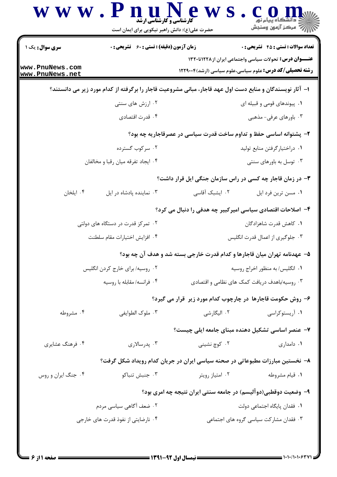| <b>سری سوال :</b> یک ۱             | <b>زمان آزمون (دقیقه) : تستی : 60 ٪ تشریحی : 0</b>                                                       |                                                                          | <b>تعداد سوالات : تستی : 45 گشریحی : 0</b>                     |
|------------------------------------|----------------------------------------------------------------------------------------------------------|--------------------------------------------------------------------------|----------------------------------------------------------------|
|                                    |                                                                                                          |                                                                          | <b>عنـــوان درس:</b> تحولات سیاسی واجتماعی ایران از ۱۲۲۸تا۱۳۲۰ |
| www.PnuNews.com<br>www.PnuNews.net |                                                                                                          |                                                                          | <b>رشته تحصیلی/کد درس:</b> علوم سیاسی،علوم سیاسی (ارشد)۱۲۲۹۰۰۴ |
|                                    | ا– آثار نویسندگان و منابع دست اول عهد قاجار، مبانی مشروعیت قاجار را برگرفته از کدام مورد زیر می دانستند؟ |                                                                          |                                                                |
|                                    | ۰۲ ارزش های سنتی                                                                                         |                                                                          | ۰۱ پیوندهای قومی و قبیله ای                                    |
|                                    | ۰۴ قدرت اقتصادی                                                                                          |                                                                          | ۰۳ باورهای عرفی- مذهبی                                         |
|                                    |                                                                                                          | ۲- پشتوانه اساسی حفظ و تداوم ساخت قدرت سیاسی در عصرقاجاریه چه بود؟       |                                                                |
|                                    | ۰۲ سرکوب گسترده                                                                                          |                                                                          | ٠١ دراختيارگرفتن منابع توليد                                   |
|                                    | ۰۴ ایجاد تفرقه میان رقبا و مخالفان                                                                       |                                                                          | ۰۳ توسل به باورهای سنتی                                        |
|                                    |                                                                                                          | ۰۳ در زمان قاجار چه کسی در راس سازمان جنگی ایل قرار داشت؟                |                                                                |
| ۰۴ ایلخان                          | ۰۳ نماینده پادشاه در ایل                                                                                 | ۰۲ ایشبک آقاسی                                                           | ٠١ مسن ترين فرد ايل                                            |
|                                    |                                                                                                          | ۴– اصلاحات اقتصادی سیاسی امیرکبیر چه هدفی را دنبال می کرد؟               |                                                                |
|                                    | ۰۲ تمرکز قدرت در دستگاه های دولتی                                                                        |                                                                          | ٠١. كاهش قدرت شاهزادگان                                        |
|                                    | ۰۴ افزايش اختيارات مقام سلطنت                                                                            | ۰۳ جلوگیری از اعمال قدرت انگلیس                                          |                                                                |
|                                    |                                                                                                          | ۵– عهدنامه تهران میان قاجارها و کدام قدرت خارجی بسته شد و هدف آن چه بود؟ |                                                                |
|                                    | ۰۲ روسیه/ برای خارج کردن انگلیس                                                                          | ۰۱ انگلیس/ به منظور اخراج روسیه                                          |                                                                |
|                                    | ۰۴ فرانسه/ مقابله با روسيه                                                                               |                                                                          | ۰۳ روسیه/باهدف دریافت کمک های نظامی و اقتصادی                  |
|                                    |                                                                                                          | ۶– روش حکومت قاجارها در چارچوب کدام مورد زیر قرار می گیرد؟               |                                                                |
| ۰۴ مشروطه                          | ۰۳ ملوک الطوايفي                                                                                         | ۰۲ الیگارشی                                                              | ۰۱ آریستوکراسی                                                 |
|                                    |                                                                                                          | ۷– عنصر اساسی تشکیل دهنده مبنای جامعه ایلی چیست؟                         |                                                                |
| ۰۴ فرهنگ عشایری                    | ۰۳ پدرسالاری                                                                                             | ۰۲ کوچ نشینی                                                             | ٠١ دامداري                                                     |
|                                    | ۸– نخستین مبارزات مطبوعاتی در صحنه سیاسی ایران در جریان کدام رویداد شکل گرفت؟                            |                                                                          |                                                                |
| ۰۴ جنگ ایران و روس                 | ۰۳ جنبش تنباكو                                                                                           | ۰۲ امتياز رويتر                                                          | ٠١ قيام مشروطه                                                 |
|                                    |                                                                                                          | ۹– وضعیت دوقطبی(دوآلیسم) در جامعه سنتی ایران نتیجه چه امری بود؟          |                                                                |
|                                    | ۰۲ ضعف أگاهي سياسي مردم                                                                                  |                                                                          | ٠١. فقدان پايگاه اجتماعي دولت                                  |
|                                    | ۰۴ نارضایتی از نفوذ قدرت های خارجی                                                                       |                                                                          | ۰۳ فقدان مشاركت سياسي گروه هاي اجتماعي                         |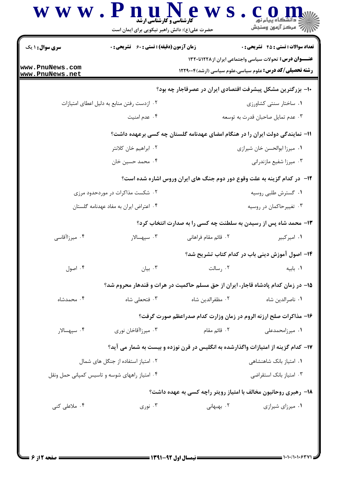| <b>سری سوال : ۱ یک</b>                 | <b>زمان آزمون (دقیقه) : تستی : 60 ٪ تشریحی : 0</b> |                                                                                     | <b>تعداد سوالات : تستي : 45 گشريحي : 0</b>                                                                               |
|----------------------------------------|----------------------------------------------------|-------------------------------------------------------------------------------------|--------------------------------------------------------------------------------------------------------------------------|
| www.PnuNews.com                        |                                                    |                                                                                     | عنـــوان درس: تحولات سیاسی واجتماعی ایران از ۱۲۲۸تا۱۳۲۰<br><b>رشته تحصیلی/کد درس:</b> علوم سیاسی،علوم سیاسی (ارشد)۲۲۹۰۰۴ |
| www.PnuNews.net                        |                                                    | ∙ا− بزرگترین مشکل پیشرفت اقتصادی ایران در عصرقاجار چه بود؟                          |                                                                                                                          |
|                                        | ۰۲ ازدست رفتن منابع به دليل اعطاى امتيازات         |                                                                                     | ۰۱ ساختار سنتی کشاورزی                                                                                                   |
|                                        | ۰۴ عدم امنیت                                       |                                                                                     | ۰۳ عدم تمایل صاحبان قدرت به توسعه                                                                                        |
|                                        |                                                    | <b>۱۱- نمایندگی دولت ایران را در هنگام امضای عهدنامه گلستان چه کسی برعهده داشت؟</b> |                                                                                                                          |
|                                        | ۰۲ ابراهیم خان کلانتر                              |                                                                                     | ٠١. ميرزا ابوالحسن خان شيرازي                                                                                            |
|                                        | ۰۴ محمد حسین خان                                   |                                                                                     | ۰۳ میرزا شفیع مازندرانی                                                                                                  |
|                                        |                                                    | <b>۱۲</b> - در کدام گزینه به علت وقوع دور دوم جنگ های ایران وروس اشاره شده است؟     |                                                                                                                          |
| ۰۲ شکست مذاکرات در موردحدود مرزی       |                                                    | ۰۱ گسترش طلبی روسیه                                                                 |                                                                                                                          |
| ۰۴ اعتراض ایران به مفاد عهدنامه گلستان |                                                    |                                                                                     | ۰۳ تغییرحاکمان در روسیه                                                                                                  |
|                                        |                                                    | ۱۳- محمد شاه پس از رسیدن به سلطنت چه کسی را به صدارت انتخاب کرد؟                    |                                                                                                                          |
| ۰۴ میرزاآقاسی                          | ۰۳ سپهسالار                                        | ٢.  قائم مقام فراهاني                                                               | ۰۱ امیرکبیر                                                                                                              |
|                                        |                                                    |                                                                                     | ۱۴– اصول آموزش دینی باب در کدام کتاب تشریح شد؟                                                                           |
| ۰۴ اصول                                | بيان $\cdot$                                       | ۰۲ رسالت                                                                            | ٠١. بابيه                                                                                                                |
|                                        |                                                    | ۱۵– در زمان کدام پادشاه قاجار، ایران از حق مسلم حاکمیت در هرات و قندهار محروم شد؟   |                                                                                                                          |
| ۰۴ محمدشاه                             | ۰۳ فتحعلی شاه                                      | ٠٢ مظفرالدين شاه                                                                    | ٠١ ناصرالدين شاه                                                                                                         |
|                                        |                                                    | ۱۶- مذاکرات صلح ارزنه الروم در زمان وزارت کدام صدراعظم صورت گرفت؟                   |                                                                                                                          |
| ۰۴ سپهسالار                            | ۰۳ میرزاآقاخان نوری                                | ۰۲ قائم مقام                                                                        | ۰۱ میرزامحمدعلی                                                                                                          |
|                                        |                                                    | ۱۷– کدام گزینه از امتیازات واگذارشده به انگلیس در قرن نوزده و بیست به شمار می آید؟  |                                                                                                                          |
| ۰۲ امتیاز استفاده از جنگل های شمال     |                                                    |                                                                                     | ۰۱ امتیاز بانک شاهنشاهی                                                                                                  |
|                                        | ۰۴ امتیاز راههای شوسه و تاسیس کمپانی حمل ونقل      |                                                                                     | ۰۳ امتیاز بانک استقراضی                                                                                                  |
|                                        |                                                    | <b>۱۸</b> - رهبری روحانیون مخالف با امتیاز رویتر راچه کسی به عهده داشت؟             |                                                                                                                          |
| ۰۴ ملاعلی کنی                          | ۰۳ نوری $\cdot$                                    | ۰۲ بهبهانی                                                                          | ۰۱ میرزای شیرازی                                                                                                         |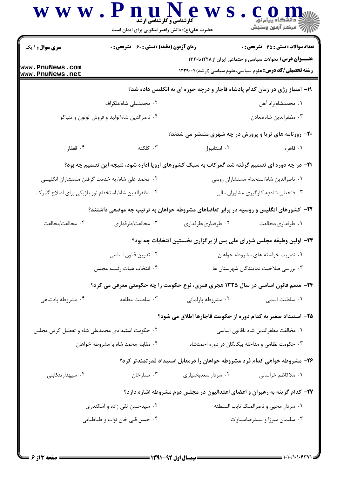|                                                 | حضرت علی(ع): دانش راهبر نیکویی برای ایمان است                                                           |                                       | د دانشگاه پيام نور<br>∭ه مرکز آزمون وسنڊش                                                                                 |
|-------------------------------------------------|---------------------------------------------------------------------------------------------------------|---------------------------------------|---------------------------------------------------------------------------------------------------------------------------|
| <b>سری سوال : ۱ یک</b>                          | <b>زمان آزمون (دقیقه) : تستی : 60 ٪ تشریحی : 0</b>                                                      |                                       | <b>تعداد سوالات : تستی : 45 گشریحی : 0</b>                                                                                |
| www.PnuNews.com<br>www.PnuNews.net              |                                                                                                         |                                       | عنـــوان درس: تحولات سیاسی واجتماعی ایران از ۱۲۲۸تا۱۳۲۰<br><b>رشته تحصیلی/کد درس:</b> علوم سیاسی،علوم سیاسی (ارشد)۱۲۲۹۰۰۴ |
|                                                 |                                                                                                         |                                       | ۱۹- امتیاز رژی در زمان کدام پادشاه قاجار و درچه حوزه ای به انگلیس داده شد؟                                                |
|                                                 | ۰۲ محمدعلی شاه/تلگراف                                                                                   |                                       | ۰۱ محمدشاه/راه آهن                                                                                                        |
|                                                 | ۰۴ ناصرالدین شاه/تولید و فروش توتون و تنباکو                                                            |                                       | ۰۳ مظفرالدين شاه/معادن                                                                                                    |
|                                                 |                                                                                                         |                                       | ۲۰- روزنامه های ثریا و پرورش در چه شهری منتشر می شدند؟                                                                    |
| ۰۴ قفقاز                                        | ۰۳ کلکته                                                                                                | ۰۲ استانبول                           | ۰۱ قاهره                                                                                                                  |
|                                                 | <b>۲۱</b> - در چه دوره ای تصمیم گرفته شد گمرکات به سبک کشورهای اروپا اداره شود، نتیجه این تصمیم چه بود؟ |                                       |                                                                                                                           |
|                                                 | ۰۲ محمد علی شاه/ به خدمت گرفتن مستشاران انگلیسی                                                         |                                       | ٠١ ناصرالدين شاه ااستخدام مستشاران روسي                                                                                   |
|                                                 | ۰۴ مظفرالدین شاه/استخدام نوز بلژیکی برای اصلاح گمرک                                                     |                                       | ۰۳ فتحعلی شاه به کارگیری مشاوران مالی                                                                                     |
|                                                 | ۲۲– کشورهای انگلیس و روسیه در برابر تقاضاهای مشروطه خواهان به ترتیب چه موضعی داشتند؟                    |                                       |                                                                                                                           |
| ۰۴ مخالفت/مخالفت                                | ۰۳ مخالفت/طرفداری                                                                                       | ۰۲ طرفداری/طرفداری                    | ۰۱ طرفداری/مخالفت                                                                                                         |
|                                                 |                                                                                                         |                                       | ۲۳- اولین وظیفه مجلس شورای ملی پس از برگزاری نخستین انتخابات چه بود؟                                                      |
|                                                 | ۰۲ تدوین قانون اساسی                                                                                    |                                       | ۰۱ تصویب خواسته های مشروطه خواهان                                                                                         |
|                                                 | ۴. انتخاب هيات رئيسه مجلس                                                                               |                                       | ۰۳ بررسی صلاحیت نمایندگان شهرستان ها                                                                                      |
|                                                 | ۲۴- متمم قانون اساسی در سال ۱۳۲۵ هجری قمری، نوع حکومت را چه حکومتی معرفی می کرد؟                        |                                       |                                                                                                                           |
| ۰۴ مشروطه پادشاهی                               | ۰۳ سلطنت مطلقه                                                                                          | ۰۲ مشروطه پارلمانی                    | ٠١ سلطنت اسمى                                                                                                             |
|                                                 |                                                                                                         |                                       | ۲۵– استبداد صغیر به کدام دوره از حکومت قاجارها اطلاق می شود؟                                                              |
| ۰۲ حکومت استبدادی محمدعلی شاه و تعطیل کردن مجلس |                                                                                                         | ٠١ مخالفت مظفرالدين شاه باقانون اساسى |                                                                                                                           |
|                                                 | ۰۴ مقابله محمد شاه با مشروطه خواهان                                                                     |                                       | ۰۳ حکومت نظامی و مداخله بیگانگان در دوره احمدشاه                                                                          |
|                                                 |                                                                                                         |                                       | ۲۶– مشروطه خواهی کدام فرد مشروطه خواهان را درمقابل استبداد قدرتمندتر کرد؟                                                 |
| ۰۴ سپهدارتنکابنی                                | ۰۳ ستارخان                                                                                              | ۰۲ سرداراسعدبختیاری                   | ۰۱ ملاکاظم خراسانی                                                                                                        |
|                                                 |                                                                                                         |                                       | ۲۷– کدام گزینه به رهبران و اعضای اعتدالیون در مجلس دوم مشروطه اشاره دارد؟                                                 |
|                                                 | ۰۲ سیدحسن تقی زاده و اسکندری                                                                            |                                       | ٠١ سردار محبى و ناصرالملک نايب السلطنه                                                                                    |
|                                                 | ۰۴ حسن قلي خان نواب و طباطبايي                                                                          |                                       | ۰۳ سلیمان میرزا و سیدرضامساوات                                                                                            |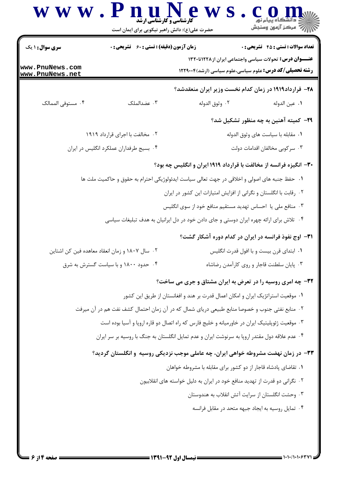| www.PnuNews.com<br>www.PnuNews.net             |                                 |                | <b>تعداد سوالات : تستي : 45 - تشريحي : 0</b>                                                                                     |
|------------------------------------------------|---------------------------------|----------------|----------------------------------------------------------------------------------------------------------------------------------|
|                                                |                                 |                | <b>عنـــوان درس:</b> تحولات سیاسی واجتماعی ایران از ۱۲۲۸تا۱۳۲۰<br><b>رشته تحصیلی/کد درس:</b> علوم سیاسی،علوم سیاسی (ارشد)۱۲۲۹۰۰۴ |
|                                                |                                 |                | ۲۸– قرارداد۱۹۱۹ در زمان کدام نخست وزیر ایران منعقدشد؟                                                                            |
| ۰۴ مستوفى الممالک                              | ۰۳ عضدالملک                     | ٠٢ وثوق الدوله | ٠١ عين الدوله                                                                                                                    |
|                                                |                                 |                | <b>۲۹</b> – کمیته آهنین به چه منظور تشکیل شد؟                                                                                    |
|                                                | ۲. مخالفت با اجرای قرارداد ۱۹۱۹ |                | ٠١. مقابله با سياست هاى وثوق الدوله                                                                                              |
| ۰۴ بسیج طرفداران عملکرد انگلیس در ایران        |                                 |                | ۰۳ سرکوبی مخالفان اقدامات دولت                                                                                                   |
|                                                |                                 |                | ۳۰– انگیزه فرانسه از مخالفت با قرارداد ۱۹۱۹ ایران و انگلیس چه بود؟                                                               |
|                                                |                                 |                | ١. حفظ جنبه های اصولی و اخلاقی در جهت تعالی سیاست ایدئولوژیکی احترام به حقوق و حاکمیت ملت ها                                     |
|                                                |                                 |                | ۰۲ رقابت با انگلستان و نگرانی از افزایش امتیازات این کشور در ایران                                                               |
|                                                |                                 |                | ۰۳ منافع ملی یا احساس تهدید مستقیم منافع خود از سوی انگلیس                                                                       |
|                                                |                                 |                | ۰۴ تلاش برای ارائه چهره ایران دوستی و جای دادن خود در دل ایرانیان به هدف تبلیغات سیاسی                                           |
|                                                |                                 |                | ۳۱- اوج نفوذ فرانسه در ایران در کدام دوره آشکار گشت؟                                                                             |
| ۰۲ سال ۱۸۰۷ و زمان انعقاد معاهده فین کن اشتاین |                                 |                | ۰۱ ابتدای قرن بیست و با افول قدرت انگلیس                                                                                         |
| ۰۴ حدود ۱۸۰۰ و با سیاست گسترش به شرق           |                                 |                | ۰۳ پایان سلطنت قاجار و روی کارآمدن رضاشاه                                                                                        |
|                                                |                                 |                | 32- چه امری روسیه را در تعرض به ایران مشتاق و جری می ساخت؟                                                                       |
|                                                |                                 |                | ۰۱ موقعیت استراتژیک ایران و امکان اعمال قدرت بر هند و افغانستان از طریق این کشور                                                 |
|                                                |                                 |                | ۰۲ منابع نفتی جنوب و خصوصا منابع طبیعی دریای شمال که در آن زمان احتمال کشف نفت هم در آن میرفت                                    |
|                                                |                                 |                | ۰۳ موقعیت ژئوپلیتیک ایران در خاورمیانه و خلیج فارس که راه اتصال دو قاره اروپا و آسیا بوده است                                    |
|                                                |                                 |                | ۰۴ عدم علاقه دول مقتدر اروپا به سرنوشت ایران و عدم تمایل انگلستان به جنگ با روسیه بر سر ایران                                    |
|                                                |                                 |                | ۳۳– در زمان نهضت مشروطه خواهی ایران، چه عاملی موجب نزدیکی روسیه و انگلستان گردید؟                                                |
|                                                |                                 |                | ٠. تقاضای پادشاه قاجار از دو کشور برای مقابله با مشروطه خواهان                                                                   |
|                                                |                                 |                | ۰۲ نگرانی دو قدرت از تهدید منافع خود در ایران به دلیل خواسته های انقلابیون                                                       |
|                                                |                                 |                | ۰۳ وحشت انگلستان از سرایت آتش انقلاب به هندوستان                                                                                 |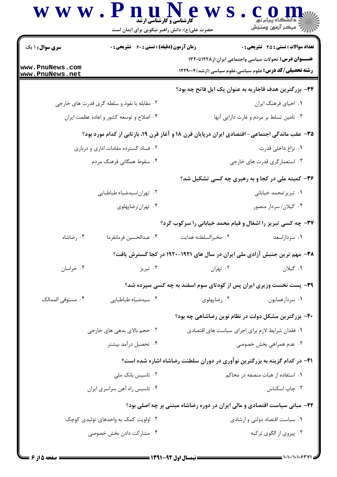|                                                              | www.PnuNews<br><b>گارشناسی و گارشناسی ارشد</b><br>حضرت علی(ع): دانش راهبر نیکویی برای ایمان است |                                                  | د دانشگاه پيام نور<br>  √ مرکز آزمون وسنڊش                                                                                                                                       |
|--------------------------------------------------------------|-------------------------------------------------------------------------------------------------|--------------------------------------------------|----------------------------------------------------------------------------------------------------------------------------------------------------------------------------------|
| <b>سری سوال : ۱ یک</b><br>www.PnuNews.com<br>www.PnuNews.net | <b>زمان آزمون (دقیقه) : تستی : 60 ٪ تشریحی : 0</b>                                              |                                                  | <b>تعداد سوالات : تستي : 45 - تشريحي : 0</b><br><b>عنـــوان درس:</b> تحولات سیاسی واجتماعی ایران از ۱۲۲۸تا۱۳۲۰<br><b>رشته تحصیلی/کد درس:</b> علوم سیاسی،علوم سیاسی (ارشد)۱۲۲۹۰۰۴ |
|                                                              |                                                                                                 |                                                  | ۳۴- بزرگترین هدف قاجاریه به عنوان یک ایل فاتح چه بود؟                                                                                                                            |
|                                                              | ۰۲ مقابله با نفوذ و سلطه گری قدرت های خارجی                                                     |                                                  | ۰۱ احیای فرهنگ ایران                                                                                                                                                             |
|                                                              | ۰۴ اصلاح و توسعه کشور و اعاده عظمت ایران                                                        |                                                  | ۰۳ تامین تسلط بر مردم و غارت دارایی آنها                                                                                                                                         |
|                                                              |                                                                                                 |                                                  | ۳۵– عقب ماندگی اجتماعی- اقتصادی ایران درپایان قرن ۱۸ و آغاز قرن ۱۹، بازتابی از کدام مورد بود؟                                                                                    |
|                                                              | ۰۲ فساد گسترده مقامات اداری و درباری                                                            |                                                  | ٠١. نزاع داخلي قدرت                                                                                                                                                              |
|                                                              | ۰۴ سقوط همگانی فرهنگ مردم                                                                       |                                                  | ۰۳ استعمارگری قدرت های خارجی                                                                                                                                                     |
|                                                              |                                                                                                 |                                                  | ۳۶- کمیته ملی در کجا و به رهبری چه کسی تشکیل شد؟                                                                                                                                 |
|                                                              | ٠٢ تهران/سيدضياء طباطبايي                                                                       |                                                  | ٠١ تبريز/محمد خياباني                                                                                                                                                            |
|                                                              | ۰۴ تهران/رضاپهلوی                                                                               |                                                  | ۰۳ گیلان/ سردار منصور                                                                                                                                                            |
|                                                              |                                                                                                 |                                                  | 37- چه کسی تبریز را اشغال و قیام محمد خیابانی را سرکوب کرد؟                                                                                                                      |
| ۰۴ رضاشاه                                                    | ٠٣ عبدالحسين فرمانفرما                                                                          | ۰۲ مخبرالسلطنه هدايت                             | ۰۱ سرداراسعد                                                                                                                                                                     |
|                                                              |                                                                                                 |                                                  | ۳۸– مهم ترین جنبش آزادی ملی ایران در سال های ۱۹۲۱–۱۹۲۰ در کجا گسترش یافت؟                                                                                                        |
| ۰۴ خراسان                                                    | ۰۳ تېريز                                                                                        | ۰۲ تهران                                         | ٠١ گيلان                                                                                                                                                                         |
|                                                              |                                                                                                 |                                                  | ۳۹- پست نخست وزیری ایران پس از کودتای سوم اسفند به چه کسی سپرده شد؟                                                                                                              |
| ۰۴ مستوفى الممالک                                            | ۰۳ سيدضياء طباطبايي                                                                             | ۰۲ رضاپهلوی                                      | ۰۱ سردارهمايون                                                                                                                                                                   |
|                                                              |                                                                                                 |                                                  | ۴۰- بزرگترین مشکل دولت در نظام نوین رضاشاهی چه بود؟                                                                                                                              |
|                                                              | ۰۲ حجم بالای بدهی های خارجی                                                                     | ۰۱ فقدان شرایط لازم برای اجرای سیاست های اقتصادی |                                                                                                                                                                                  |
|                                                              | ۰۴ تحصیل درآمد بیشتر                                                                            |                                                  | ۰۳ عدم همراهی بخش خصوصی                                                                                                                                                          |
|                                                              |                                                                                                 |                                                  | ۴۱- در کدام گزینه به بزرگترین نوآوری در دوران سلطنت رضاشاه اشاره شده است؟                                                                                                        |
|                                                              | ۰۲ تاسیس بانک ملی                                                                               |                                                  | ۰۱ استفاده از هیات منصفه در محاکم                                                                                                                                                |
|                                                              | ۰۴ تاسیس راه آهن سراسری ایران                                                                   |                                                  | ۰۳ چاپ اسکناس                                                                                                                                                                    |
|                                                              |                                                                                                 |                                                  | ۴۲- مبانی سیاست اقتصادی و مالی ایران در دوره رضاشاه مبتنی بر چه اصلی بود؟                                                                                                        |
|                                                              | ۰۲ اولویت کمک به واحدهای تولیدی کوچک                                                            |                                                  | ٠١ سياست اقتصاد دولتي وارشادي                                                                                                                                                    |
|                                                              | ۰۴ مشارکت دادن بخش خصوصی                                                                        |                                                  | ۰۳ پیروی از الگوی ترکیه                                                                                                                                                          |